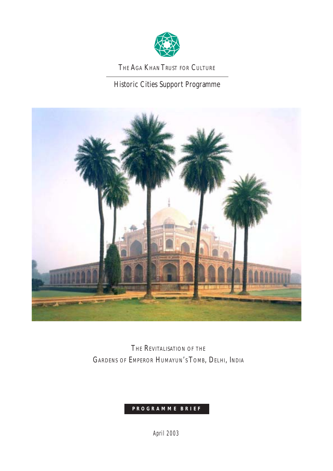

THE AGA KHAN TRUST FOR CULTURE

Historic Cities Support Programme



THE REVITALISATION OF THE GARDENS OF EMPEROR HUMAYUN'S TOMB, DELHI, INDIA

# **PROGRAMME BRIEF**

*April 2003*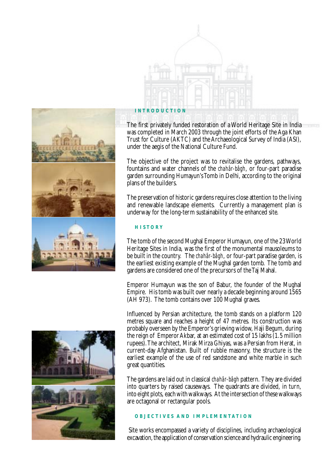



## **INTRODUCTION**

The first privately funded restoration of a World Heritage Site in India was completed in March 2003 through the joint efforts of the Aga Khan Trust for Culture (AKTC) and the Archaeological Survey of India (ASI), under the aegis of the National Culture Fund.

The objective of the project was to revitalise the gardens, pathways, fountains and water channels of the *chahâr-bâgh*, or four-part paradise garden surrounding Humayun's Tomb in Delhi, according to the original plans of the builders.

The preservation of historic gardens requires close attention to the living and renewable landscape elements. Currently a management plan is underway for the long-term sustainability of the enhanced site.

## **HISTORY**

The tomb of the second Mughal Emperor Humayun, one of the 23 World Heritage Sites in India, was the first of the monumental mausoleums to be built in the country. The *chahâr-bâgh*, or four-part paradise garden, is the earliest existing example of the Mughal garden tomb. The tomb and gardens are considered one of the precursors of the Taj Mahal.

Emperor Humayun was the son of Babur, the founder of the Mughal Empire. His tomb was built over nearly a decade beginning around 1565 (AH 973). The tomb contains over 100 Mughal graves.

Influenced by Persian architecture, the tomb stands on a platform 120 metres square and reaches a height of 47 metres. Its construction was probably overseen by the Emperor's grieving widow, Haji Begum, during the reign of Emperor Akbar, at an estimated cost of 15 lakhs (1.5 million rupees). The architect, Mirak Mirza Ghiyas, was a Persian from Herat, in current-day Afghanistan. Built of rubble masonry, the structure is the earliest example of the use of red sandstone and white marble in such great quantities.

The gardens are laid out in classical *chahâr-bâgh* pattern. They are divided into quarters by raised causeways. The quadrants are divided, in turn, into eight plots, each with walkways. At the intersection of these walkways are octagonal or rectangular pools.

## **OBJECTIVES AND IMPLEMENTATION**

 Site works encompassed a variety of disciplines, including archaeological excavation, the application of conservation science and hydraulic engineering.

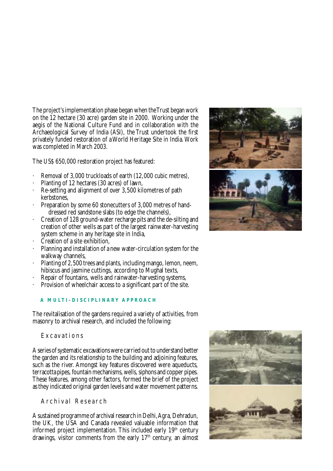The project's implementation phase began when the Trust began work on the 12 hectare (30 acre) garden site in 2000. Working under the aegis of the National Culture Fund and in collaboration with the Archaeological Survey of India (ASI), the Trust undertook the first privately funded restoration of a World Heritage Site in India. Work was completed in March 2003.

The US\$ 650,000 restoration project has featured:

- Removal of 3,000 truckloads of earth (12,000 cubic metres),
- Planting of 12 hectares (30 acres) of lawn,
- Re-setting and alignment of over 3,500 kilometres of path kerbstones,
- Preparation by some 60 stonecutters of 3,000 metres of handdressed red sandstone slabs (to edge the channels),
- · Creation of 128 ground-water recharge pits and the de-silting and creation of other wells as part of the largest rainwater-harvesting system scheme in any heritage site in India,
- Creation of a site exhibition,
- Planning and installation of a new water-circulation system for the walkway channels,
- Planting of 2,500 trees and plants, including mango, lemon, neem, hibiscus and jasmine cuttings, according to Mughal texts,
- Repair of fountains, wells and rainwater-harvesting systems,
- Provision of wheelchair access to a significant part of the site.

# **A MULTI-DISCIPLINARY APPROACH**

The revitalisation of the gardens required a variety of activities, from masonry to archival research, and included the following:

Excavations

A series of systematic excavations were carried out to understand better the garden and its relationship to the building and adjoining features, such as the river. Amongst key features discovered were aqueducts, terracotta pipes, fountain mechanisms, wells, siphons and copper pipes. These features, among other factors, formed the brief of the project as they indicated original garden levels and water movement patterns.

Archival Research

A sustained programme of archival research in Delhi, Agra, Dehradun, the UK, the USA and Canada revealed valuable information that informed project implementation. This included early  $19<sup>th</sup>$  century drawings, visitor comments from the early  $17<sup>th</sup>$  century, an almost



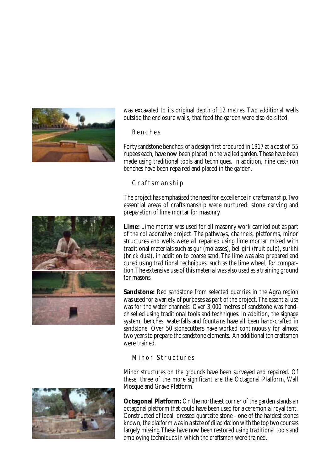

was excavated to its original depth of 12 metres. Two additional wells outside the enclosure walls, that feed the garden were also de-silted.

Benches

Forty sandstone benches, of a design first procured in 1917 at a cost of 55 rupees each, have now been placed in the walled garden. These have been made using traditional tools and techniques. In addition, nine cast-iron benches have been repaired and placed in the garden.

Craftsmanship

The project has emphasised the need for excellence in craftsmanship. Two essential areas of craftsmanship were nurtured: stone carving and preparation of lime mortar for masonry.

**Lime:** Lime mortar was used for all masonry work carried out as part of the collaborative project. The pathways, channels, platforms, minor structures and wells were all repaired using lime mortar mixed with traditional materials such as gur (molasses), bel-giri (fruit pulp), surkhi (brick dust), in addition to coarse sand. The lime was also prepared and cured using traditional techniques, such as the lime wheel, for compaction. The extensive use of this material was also used as a training ground for masons.

**Sandstone:** Red sandstone from selected quarries in the Agra region was used for a variety of purposes as part of the project. The essential use was for the water channels. Over 3,000 metres of sandstone was handchiselled using traditional tools and techniques. In addition, the signage system, benches, waterfalls and fountains have all been hand-crafted in sandstone. Over 50 stonecutters have worked continuously for almost two years to prepare the sandstone elements. An additional ten craftsmen were trained.

## Minor Structures

Minor structures on the grounds have been surveyed and repaired. Of these, three of the more significant are the Octagonal Platform, Wall Mosque and Grave Platform.





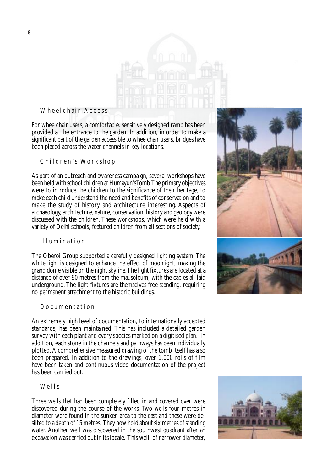

# Wheelchair Access

For wheelchair users, a comfortable, sensitively designed ramp has been provided at the entrance to the garden. In addition, in order to make a significant part of the garden accessible to wheelchair users, bridges have been placed across the water channels in key locations.

Children's Workshop

As part of an outreach and awareness campaign, several workshops have been held with school children at Humayun's Tomb. The primary objectives were to introduce the children to the significance of their heritage, to make each child understand the need and benefits of conservation and to make the study of history and architecture interesting. Aspects of archaeology, architecture, nature, conservation, history and geology were discussed with the children. These workshops, which were held with a variety of Delhi schools, featured children from all sections of society.

## Illumination

The Oberoi Group supported a carefully designed lighting system. The white light is designed to enhance the effect of moonlight, making the grand dome visible on the night skyline. The light fixtures are located at a distance of over 90 metres from the mausoleum, with the cables all laid underground. The light fixtures are themselves free standing, requiring no permanent attachment to the historic buildings.

### Documentation

An extremely high level of documentation, to internationally accepted standards, has been maintained. This has included a detailed garden survey with each plant and every species marked on a digitised plan. In addition, each stone in the channels and pathways has been individually plotted. A comprehensive measured drawing of the tomb itself has also been prepared. In addition to the drawings, over 1,000 rolls of film have been taken and continuous video documentation of the project has been carried out.

## Wells

Three wells that had been completely filled in and covered over were discovered during the course of the works. Two wells four metres in diameter were found in the sunken area to the east and these were desilted to a depth of 15 metres. They now hold about six metres of standing water. Another well was discovered in the southwest quadrant after an excavation was carried out in its locale. This well, of narrower diameter,



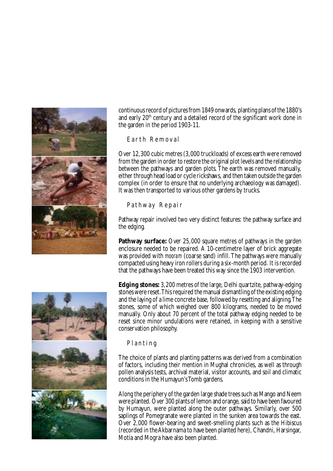

continuous record of pictures from 1849 onwards, planting plans of the 1880's and early 20<sup>th</sup> century and a detailed record of the significant work done in the garden in the period 1903-11.

Earth Removal

Over 12,300 cubic metres (3,000 truckloads) of excess earth were removed from the garden in order to restore the original plot levels and the relationship between the pathways and garden plots. The earth was removed manually, either through head load or cycle rickshaws, and then taken outside the garden complex (in order to ensure that no underlying archaeology was damaged). It was then transported to various other gardens by trucks.

Pathway Repair

Pathway repair involved two very distinct features: the pathway surface and the edging.

**Pathway surface:** Over 25,000 square metres of pathways in the garden enclosure needed to be repaired. A 10-centimetre layer of brick aggregate was provided with *mooram* (coarse sand) infill. The pathways were manually compacted using heavy iron rollers during a six-month period. It is recorded that the pathways have been treated this way since the 1903 intervention.

**Edging stones:** 3,200 metres of the large, Delhi quartzite, pathway-edging stones were reset. This required the manual dismantling of the existing edging and the laying of a lime concrete base, followed by resetting and aligning. The stones, some of which weighed over 800 kilograms, needed to be moved manually. Only about 70 percent of the total pathway edging needed to be reset since minor undulations were retained, in keeping with a sensitive conservation philosophy.

# Planting

The choice of plants and planting patterns was derived from a combination of factors, including their mention in Mughal chronicles, as well as through pollen analysis tests, archival material, visitor accounts, and soil and climatic conditions in the Humayun's Tomb gardens.

Along the periphery of the garden large shade trees such as Mango and Neem were planted. Over 300 plants of lemon and orange, said to have been favoured by Humayun, were planted along the outer pathways. Similarly, over 500 saplings of Pomegranate were planted in the sunken area towards the east. Over 2,000 flower-bearing and sweet-smelling plants such as the Hibiscus (recorded in the Akbarnama to have been planted here), Chandni, Harsingar, Motia and Mogra have also been planted.

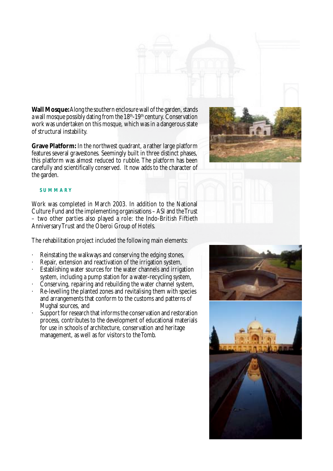**Wall Mosque:** Along the southern enclosure wall of the garden, stands a wall mosque possibly dating from the  $18<sup>th</sup>-19<sup>th</sup>$  century. Conservation work was undertaken on this mosque, which was in a dangerous state of structural instability.

**Grave Platform:** In the northwest quadrant, a rather large platform features several gravestones. Seemingly built in three distinct phases, this platform was almost reduced to rubble. The platform has been carefully and scientifically conserved. It now adds to the character of the garden.



### **SUMMARY**

Work was completed in March 2003. In addition to the National Culture Fund and the implementing organisations – ASI and the Trust – two other parties also played a role: the Indo-British Fiftieth Anniversary Trust and the Oberoi Group of Hotels.

The rehabilitation project included the following main elements:

- · Reinstating the walkways and conserving the edging stones,
- Repair, extension and reactivation of the irrigation system,
- Establishing water sources for the water channels and irrigation system, including a pump station for a water-recycling system,
- · Conserving, repairing and rebuilding the water channel system,
- · Re-levelling the planted zones and revitalising them with species and arrangements that conform to the customs and patterns of Mughal sources, and
- Support for research that informs the conservation and restoration process, contributes to the development of educational materials for use in schools of architecture, conservation and heritage management, as well as for visitors to the Tomb.